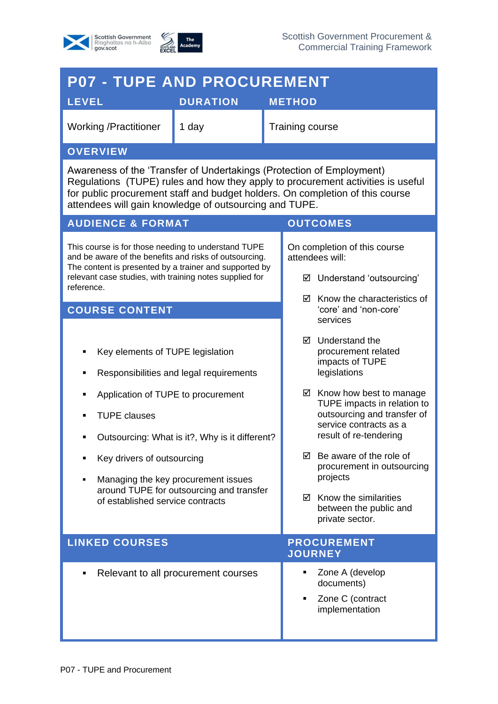



| <b>P07 - TUPE AND PROCUREMENT</b>                                                                                                                                                                                                                                                                   |                                                                                                                                                                              |                                                                               |                                                                                                                                                                                                                                                                                                                                                                                                    |  |
|-----------------------------------------------------------------------------------------------------------------------------------------------------------------------------------------------------------------------------------------------------------------------------------------------------|------------------------------------------------------------------------------------------------------------------------------------------------------------------------------|-------------------------------------------------------------------------------|----------------------------------------------------------------------------------------------------------------------------------------------------------------------------------------------------------------------------------------------------------------------------------------------------------------------------------------------------------------------------------------------------|--|
| <b>LEVEL</b>                                                                                                                                                                                                                                                                                        | <b>DURATION</b>                                                                                                                                                              |                                                                               | <b>METHOD</b>                                                                                                                                                                                                                                                                                                                                                                                      |  |
| <b>Working /Practitioner</b>                                                                                                                                                                                                                                                                        | 1 day                                                                                                                                                                        |                                                                               | <b>Training course</b>                                                                                                                                                                                                                                                                                                                                                                             |  |
| <b>OVERVIEW</b>                                                                                                                                                                                                                                                                                     |                                                                                                                                                                              |                                                                               |                                                                                                                                                                                                                                                                                                                                                                                                    |  |
| Awareness of the 'Transfer of Undertakings (Protection of Employment)<br>Regulations (TUPE) rules and how they apply to procurement activities is useful<br>for public procurement staff and budget holders. On completion of this course<br>attendees will gain knowledge of outsourcing and TUPE. |                                                                                                                                                                              |                                                                               |                                                                                                                                                                                                                                                                                                                                                                                                    |  |
| <b>AUDIENCE &amp; FORMAT</b><br><b>OUTCOMES</b>                                                                                                                                                                                                                                                     |                                                                                                                                                                              |                                                                               |                                                                                                                                                                                                                                                                                                                                                                                                    |  |
| This course is for those needing to understand TUPE<br>and be aware of the benefits and risks of outsourcing.<br>The content is presented by a trainer and supported by<br>relevant case studies, with training notes supplied for<br>reference.                                                    |                                                                                                                                                                              | On completion of this course<br>attendees will:<br>☑ Understand 'outsourcing' |                                                                                                                                                                                                                                                                                                                                                                                                    |  |
| <b>COURSE CONTENT</b>                                                                                                                                                                                                                                                                               |                                                                                                                                                                              | $\boxtimes$ Know the characteristics of<br>'core' and 'non-core'<br>services  |                                                                                                                                                                                                                                                                                                                                                                                                    |  |
| Key elements of TUPE legislation<br>Application of TUPE to procurement<br><b>TUPE clauses</b><br>Key drivers of outsourcing<br>of established service contracts                                                                                                                                     | Responsibilities and legal requirements<br>Outsourcing: What is it?, Why is it different?<br>Managing the key procurement issues<br>around TUPE for outsourcing and transfer |                                                                               | Understand the<br>罓<br>procurement related<br>impacts of TUPE<br>legislations<br>$\boxtimes$ Know how best to manage<br>TUPE impacts in relation to<br>outsourcing and transfer of<br>service contracts as a<br>result of re-tendering<br>Be aware of the role of<br>☑<br>procurement in outsourcing<br>projects<br>$\boxtimes$ Know the similarities<br>between the public and<br>private sector. |  |
| <b>LINKED COURSES</b>                                                                                                                                                                                                                                                                               |                                                                                                                                                                              | <b>PROCUREMENT</b><br><b>JOURNEY</b>                                          |                                                                                                                                                                                                                                                                                                                                                                                                    |  |
| Relevant to all procurement courses                                                                                                                                                                                                                                                                 |                                                                                                                                                                              |                                                                               | Zone A (develop<br>٠<br>documents)<br>Zone C (contract<br>implementation                                                                                                                                                                                                                                                                                                                           |  |